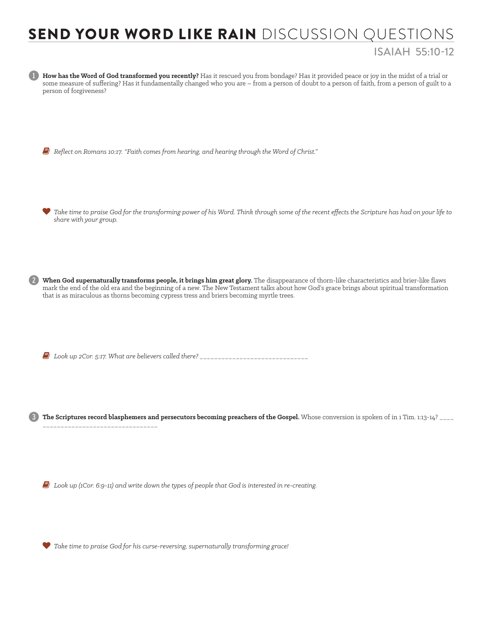## SEND YOUR WORD LIKE RAIN DISCUSSION QUESTIONS ISAIAH 55:10-12



*Take time to praise God for his curse-reversing, supernaturally transforming grace!*